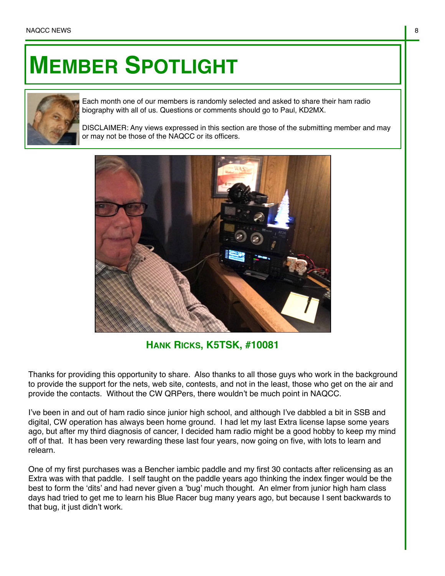## **MEMBER SPOTLIGHT**



Each month one of our members is randomly selected and asked to share their ham radio biography with all of us. Questions or comments should go to Paul, KD2MX.

DISCLAIMER: Any views expressed in this section are those of the submitting member and may or may not be those of the NAQCC or its officers.



**HANK RICKS, K5TSK, #10081**

Thanks for providing this opportunity to share. Also thanks to all those guys who work in the background to provide the support for the nets, web site, contests, and not in the least, those who get on the air and provide the contacts. Without the CW QRPers, there wouldn't be much point in NAQCC.

I've been in and out of ham radio since junior high school, and although I've dabbled a bit in SSB and digital, CW operation has always been home ground. I had let my last Extra license lapse some years ago, but after my third diagnosis of cancer, I decided ham radio might be a good hobby to keep my mind off of that. It has been very rewarding these last four years, now going on five, with lots to learn and relearn.

One of my first purchases was a Bencher iambic paddle and my first 30 contacts after relicensing as an Extra was with that paddle. I self taught on the paddle years ago thinking the index finger would be the best to form the 'dits' and had never given a 'bug' much thought. An elmer from junior high ham class days had tried to get me to learn his Blue Racer bug many years ago, but because I sent backwards to that bug, it just didn't work.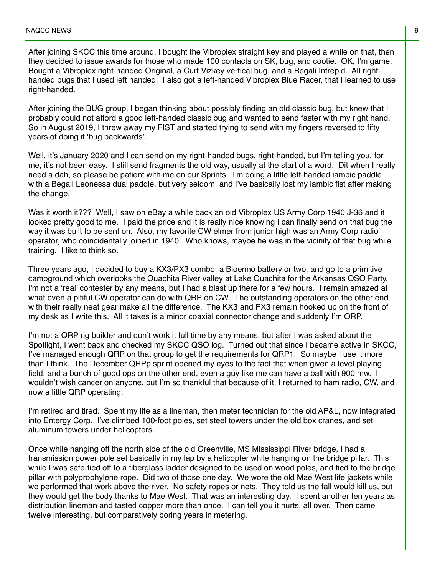After joining SKCC this time around, I bought the Vibroplex straight key and played a while on that, then they decided to issue awards for those who made 100 contacts on SK, bug, and cootie. OK, I'm game. Bought a Vibroplex right-handed Original, a Curt Vizkey vertical bug, and a Begali Intrepid. All righthanded bugs that I used left handed. I also got a left-handed Vibroplex Blue Racer, that I learned to use right-handed.

After joining the BUG group, I began thinking about possibly finding an old classic bug, but knew that I probably could not afford a good left-handed classic bug and wanted to send faster with my right hand. So in August 2019, I threw away my FIST and started trying to send with my fingers reversed to fifty years of doing it 'bug backwards'.

Well, it's January 2020 and I can send on my right-handed bugs, right-handed, but I'm telling you, for me, it's not been easy. I still send fragments the old way, usually at the start of a word. Dit when I really need a dah, so please be patient with me on our Sprints. I'm doing a little left-handed iambic paddle with a Begali Leonessa dual paddle, but very seldom, and I've basically lost my iambic fist after making the change.

Was it worth it??? Well, I saw on eBay a while back an old Vibroplex US Army Corp 1940 J-36 and it looked pretty good to me. I paid the price and it is really nice knowing I can finally send on that bug the way it was built to be sent on. Also, my favorite CW elmer from junior high was an Army Corp radio operator, who coincidentally joined in 1940. Who knows, maybe he was in the vicinity of that bug while training. I like to think so.

Three years ago, I decided to buy a KX3/PX3 combo, a Bioenno battery or two, and go to a primitive campground which overlooks the Ouachita River valley at Lake Ouachita for the Arkansas QSO Party. I'm not a 'real' contester by any means, but I had a blast up there for a few hours. I remain amazed at what even a pitiful CW operator can do with QRP on CW. The outstanding operators on the other end with their really neat gear make all the difference. The KX3 and PX3 remain hooked up on the front of my desk as I write this. All it takes is a minor coaxial connector change and suddenly I'm QRP.

I'm not a QRP rig builder and don't work it full time by any means, but after I was asked about the Spotlight, I went back and checked my SKCC QSO log. Turned out that since I became active in SKCC, I've managed enough QRP on that group to get the requirements for QRP1. So maybe I use it more than I think. The December QRPp sprint opened my eyes to the fact that when given a level playing field, and a bunch of good ops on the other end, even a guy like me can have a ball with 900 mw. I wouldn't wish cancer on anyone, but I'm so thankful that because of it, I returned to ham radio, CW, and now a little QRP operating.

I'm retired and tired. Spent my life as a lineman, then meter technician for the old AP&L, now integrated into Entergy Corp. I've climbed 100-foot poles, set steel towers under the old box cranes, and set aluminum towers under helicopters.

Once while hanging off the north side of the old Greenville, MS Mississippi River bridge, I had a transmission power pole set basically in my lap by a helicopter while hanging on the bridge pillar. This while I was safe-tied off to a fiberglass ladder designed to be used on wood poles, and tied to the bridge pillar with polyprophylene rope. Did two of those one day. We wore the old Mae West life jackets while we performed that work above the river. No safety ropes or nets. They told us the fall would kill us, but they would get the body thanks to Mae West. That was an interesting day. I spent another ten years as distribution lineman and tasted copper more than once. I can tell you it hurts, all over. Then came twelve interesting, but comparatively boring years in metering.